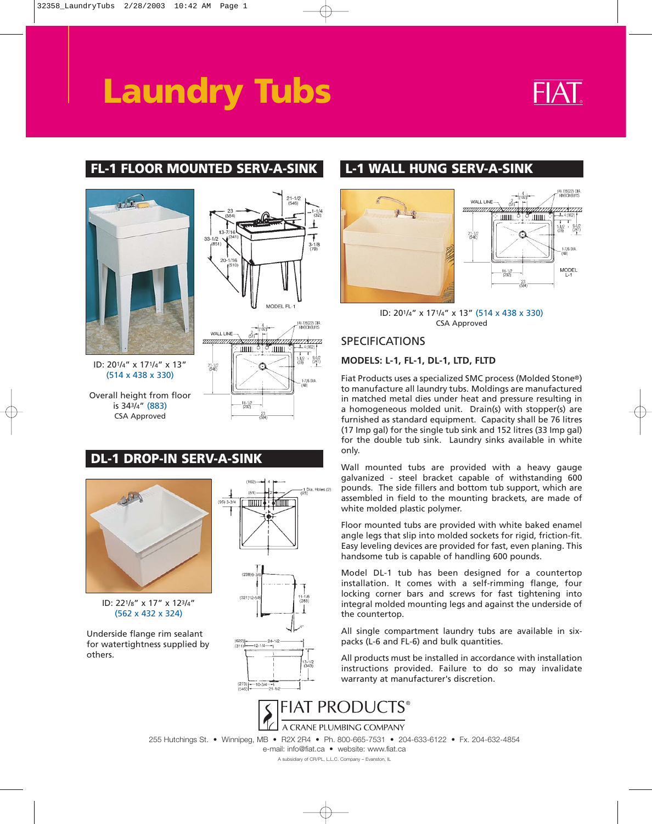# **Laundry Tubs**



# **FL-1 FLOOR MOUNTED SERV-A-SINK L-1 WALL HUNG SERV-A-SINK**



(514 x 438 x 330)

Overall height from floor is 343/4" (883) CSA Approved



# **DL-1 DROP-IN SERV-A-SINK**





Underside flange rim sealant for watertightness supplied by others.





ID: 201/4" x 171/4" x 13" (514 x 438 x 330) CSA Approved

## SPECIFICATIONS

### **MODELS: L-1, FL-1, DL-1, LTD, FLTD**

Fiat Products uses a specialized SMC process (Molded Stone®) to manufacture all laundry tubs. Moldings are manufactured in matched metal dies under heat and pressure resulting in a homogeneous molded unit. Drain(s) with stopper(s) are furnished as standard equipment. Capacity shall be 76 litres (17 Imp gal) for the single tub sink and 152 litres (33 Imp gal) for the double tub sink. Laundry sinks available in white only.

Wall mounted tubs are provided with a heavy gauge galvanized - steel bracket capable of withstanding 600 pounds. The side fillers and bottom tub support, which are assembled in field to the mounting brackets, are made of white molded plastic polymer.

Floor mounted tubs are provided with white baked enamel angle legs that slip into molded sockets for rigid, friction-fit. Easy leveling devices are provided for fast, even planing. This handsome tub is capable of handling 600 pounds.

Model DL-1 tub has been designed for a countertop installation. It comes with a self-rimming flange, four locking corner bars and screws for fast tightening into integral molded mounting legs and against the underside of the countertop.

All single compartment laundry tubs are available in sixpacks (L-6 and FL-6) and bulk quantities.

All products must be installed in accordance with installation instructions provided. Failure to do so may invalidate warranty at manufacturer's discretion.



255 Hutchings St. • Winnipeg, MB • R2X 2R4 • Ph. 800-665-7531 • 204-633-6122 • Fx. 204-632-4854

e-mail: info@fiat.ca • website: www.fiat.ca

A subsidiary of CR/PL, L.L.C. Company – Evanston, IL